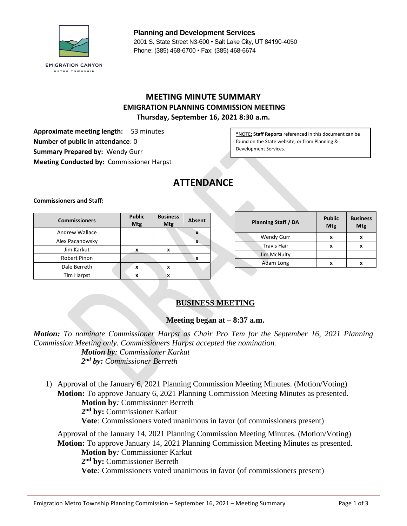

**Planning and Development Services** 2001 S. State Street N3-600 • Salt Lake City, UT 84190-4050 Phone: (385) 468-6700 • Fax: (385) 468-6674

# **MEETING MINUTE SUMMARY EMIGRATION PLANNING COMMISSION MEETING Thursday, September 16, 2021 8:30 a.m.**

**Approximate meeting length:** 53 minutes **Number of public in attendance**: 0 **Summary Prepared by:** Wendy Gurr **Meeting Conducted by:** Commissioner Harpst

**\***NOTE**: Staff Reports** referenced in this document can be found on the State website, or from Planning & Development Services.

# **ATTENDANCE**

**Commissioners and Staff:**

| <b>Commissioners</b>  | <b>Public</b><br><b>Mtg</b> | <b>Business</b><br><b>Mtg</b> | Absent       |  | <b>Planning Staff / DA</b> | <b>Public</b><br><b>Mtg</b> | <b>Business</b><br><b>Mtg</b> |
|-----------------------|-----------------------------|-------------------------------|--------------|--|----------------------------|-----------------------------|-------------------------------|
| <b>Andrew Wallace</b> |                             |                               | $\mathbf{v}$ |  | Wendy Gurr                 | x                           |                               |
| Alex Pacanowsky       |                             |                               | л            |  | <b>Travis Hair</b>         | x                           |                               |
| Jim Karkut            |                             | X                             |              |  |                            |                             | л                             |
| Robert Pinon          |                             |                               | Λ            |  | Jim McNulty                |                             |                               |
|                       |                             |                               |              |  | Adam Long                  | $\mathbf{v}$                |                               |
| Dale Berreth          | X                           | X                             |              |  |                            |                             |                               |
| Tim Harpst            | x                           | $\bullet$<br>^                |              |  |                            |                             |                               |

## **BUSINESS MEETING**

## **Meeting began at – 8:37 a.m.**

*Motion: To nominate Commissioner Harpst as Chair Pro Tem for the September 16, 2021 Planning Commission Meeting only. Commissioners Harpst accepted the nomination. Motion by: Commissioner Karkut 2 nd by: Commissioner Berreth*

1) Approval of the January 6, 2021 Planning Commission Meeting Minutes. (Motion/Voting) **Motion:** To approve January 6, 2021 Planning Commission Meeting Minutes as presented. **Motion by***:* Commissioner Berreth **2 nd by:** Commissioner Karkut **Vote***:* Commissioners voted unanimous in favor (of commissioners present)

Approval of the January 14, 2021 Planning Commission Meeting Minutes. (Motion/Voting) **Motion:** To approve January 14, 2021 Planning Commission Meeting Minutes as presented. **Motion by***:* Commissioner Karkut **2 nd by:** Commissioner Berreth **Vote***:* Commissioners voted unanimous in favor (of commissioners present)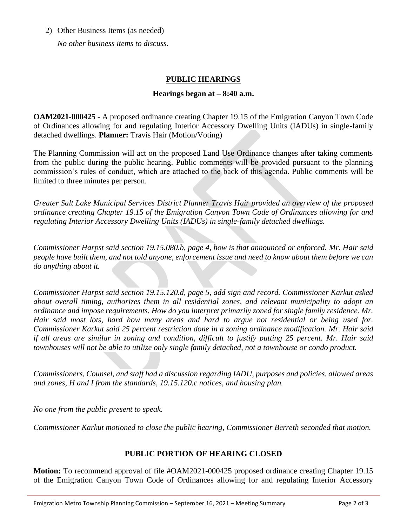#### 2) Other Business Items (as needed)

*No other business items to discuss.*

# **PUBLIC HEARINGS**

#### **Hearings began at – 8:40 a.m.**

**OAM2021-000425 -** A proposed ordinance creating Chapter 19.15 of the Emigration Canyon Town Code of Ordinances allowing for and regulating Interior Accessory Dwelling Units (IADUs) in single-family detached dwellings. **Planner:** Travis Hair (Motion/Voting)

The Planning Commission will act on the proposed Land Use Ordinance changes after taking comments from the public during the public hearing. Public comments will be provided pursuant to the planning commission's rules of conduct, which are attached to the back of this agenda. Public comments will be limited to three minutes per person.

*Greater Salt Lake Municipal Services District Planner Travis Hair provided an overview of the proposed ordinance creating Chapter 19.15 of the Emigration Canyon Town Code of Ordinances allowing for and regulating Interior Accessory Dwelling Units (IADUs) in single-family detached dwellings.*

*Commissioner Harpst said section 19.15.080.b, page 4, how is that announced or enforced. Mr. Hair said people have built them, and not told anyone, enforcement issue and need to know about them before we can do anything about it.*

*Commissioner Harpst said section 19.15.120.d, page 5, add sign and record. Commissioner Karkut asked about overall timing, authorizes them in all residential zones, and relevant municipality to adopt an ordinance and impose requirements. How do you interpret primarily zoned for single family residence. Mr. Hair said most lots, hard how many areas and hard to argue not residential or being used for. Commissioner Karkut said 25 percent restriction done in a zoning ordinance modification. Mr. Hair said if all areas are similar in zoning and condition, difficult to justify putting 25 percent. Mr. Hair said townhouses will not be able to utilize only single family detached, not a townhouse or condo product.*

*Commissioners, Counsel, and staff had a discussion regarding IADU, purposes and policies, allowed areas and zones, H and I from the standards, 19.15.120.c notices, and housing plan.*

*No one from the public present to speak.*

*Commissioner Karkut motioned to close the public hearing, Commissioner Berreth seconded that motion.*

## **PUBLIC PORTION OF HEARING CLOSED**

**Motion:** To recommend approval of file #OAM2021-000425 proposed ordinance creating Chapter 19.15 of the Emigration Canyon Town Code of Ordinances allowing for and regulating Interior Accessory